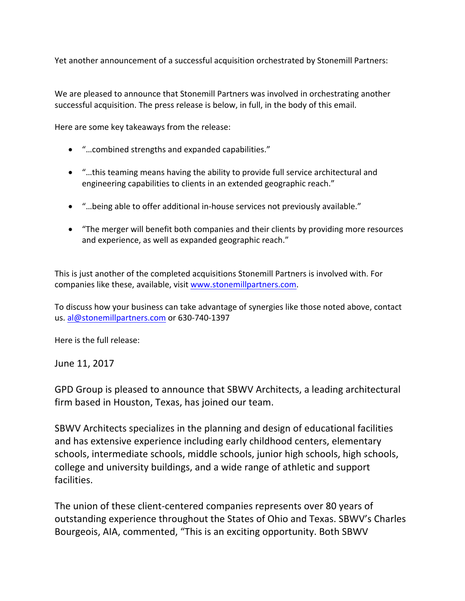Yet another announcement of a successful acquisition orchestrated by Stonemill Partners:

We are pleased to announce that Stonemill Partners was involved in orchestrating another successful acquisition. The press release is below, in full, in the body of this email.

Here are some key takeaways from the release:

- "...combined strengths and expanded capabilities."
- "...this teaming means having the ability to provide full service architectural and engineering capabilities to clients in an extended geographic reach."
- "...being able to offer additional in-house services not previously available."
- "The merger will benefit both companies and their clients by providing more resources and experience, as well as expanded geographic reach."

This is just another of the completed acquisitions Stonemill Partners is involved with. For companies like these, available, visit www.stonemillpartners.com.

To discuss how your business can take advantage of synergies like those noted above, contact us. al@stonemillpartners.com or 630-740-1397

Here is the full release:

June 11, 2017

GPD Group is pleased to announce that SBWV Architects, a leading architectural firm based in Houston, Texas, has joined our team.

SBWV Architects specializes in the planning and design of educational facilities and has extensive experience including early childhood centers, elementary schools, intermediate schools, middle schools, junior high schools, high schools, college and university buildings, and a wide range of athletic and support facilities.

The union of these client-centered companies represents over 80 years of outstanding experience throughout the States of Ohio and Texas. SBWV's Charles Bourgeois, AIA, commented, "This is an exciting opportunity. Both SBWV